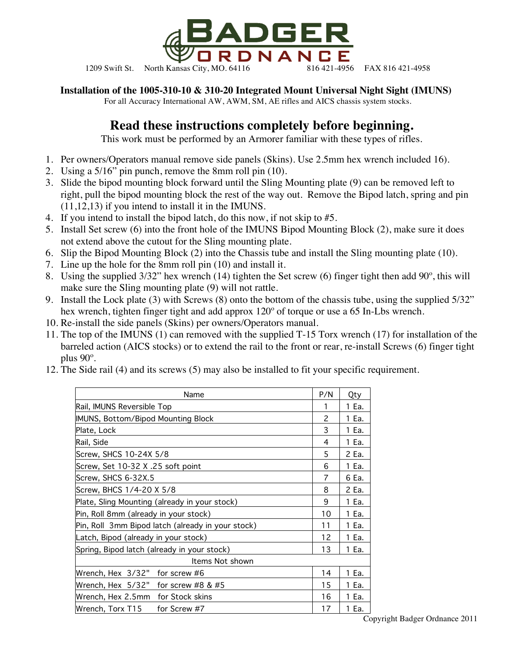

1209 Swift St. North Kansas City, MO. 64116 816 421-4956 FAX 816 421-4958

**Installation of the 1005-310-10 & 310-20 Integrated Mount Universal Night Sight (IMUNS)**

For all Accuracy International AW, AWM, SM, AE rifles and AICS chassis system stocks.

## **Read these instructions completely before beginning.**

This work must be performed by an Armorer familiar with these types of rifles.

- 1. Per owners/Operators manual remove side panels (Skins). Use 2.5mm hex wrench included 16).
- 2. Using a 5/16" pin punch, remove the 8mm roll pin (10).
- 3. Slide the bipod mounting block forward until the Sling Mounting plate (9) can be removed left to right, pull the bipod mounting block the rest of the way out. Remove the Bipod latch, spring and pin (11,12,13) if you intend to install it in the IMUNS.
- 4. If you intend to install the bipod latch, do this now, if not skip to #5.
- 5. Install Set screw (6) into the front hole of the IMUNS Bipod Mounting Block (2), make sure it does not extend above the cutout for the Sling mounting plate.
- 6. Slip the Bipod Mounting Block (2) into the Chassis tube and install the Sling mounting plate (10).
- 7. Line up the hole for the 8mm roll pin (10) and install it.
- 8. Using the supplied 3/32" hex wrench (14) tighten the Set screw (6) finger tight then add 90º, this will make sure the Sling mounting plate (9) will not rattle.
- 9. Install the Lock plate (3) with Screws (8) onto the bottom of the chassis tube, using the supplied 5/32" hex wrench, tighten finger tight and add approx 120º of torque or use a 65 In-Lbs wrench.
- 10. Re-install the side panels (Skins) per owners/Operators manual.
- 11. The top of the IMUNS (1) can removed with the supplied T-15 Torx wrench (17) for installation of the barreled action (AICS stocks) or to extend the rail to the front or rear, re-install Screws (6) finger tight plus 90º.
- 12. The Side rail (4) and its screws (5) may also be installed to fit your specific requirement.

| Name                                              | P/N | Qty   |
|---------------------------------------------------|-----|-------|
| Rail, IMUNS Reversible Top                        | 1   | 1 Ea. |
| IMUNS, Bottom/Bipod Mounting Block                | 2   | 1 Ea. |
| Plate, Lock                                       | 3   | 1 Ea. |
| Rail, Side                                        | 4   | 1 Ea. |
| Screw, SHCS 10-24X 5/8                            | 5   | 2 Ea. |
| Screw, Set 10-32 X .25 soft point                 | 6   | 1 Ea. |
| Screw, SHCS 6-32X.5                               | 7   | 6 Ea. |
| Screw, BHCS 1/4-20 X 5/8                          | 8   | 2 Ea. |
| Plate, Sling Mounting (already in your stock)     | 9   | 1 Ea. |
| Pin, Roll 8mm (already in your stock)             | 10  | 1 Ea. |
| Pin, Roll 3mm Bipod latch (already in your stock) | 11  | 1 Ea. |
| Latch, Bipod (already in your stock)              | 12  | 1 Ea. |
| Spring, Bipod latch (already in your stock)       | 13  | 1 Ea. |
| Items Not shown                                   |     |       |
| Wrench, Hex 3/32"<br>for screw #6                 | 14  | 1 Ea. |
| Wrench, Hex $5/32$ " for screw #8 & #5            | 15  | 1 Ea. |
| Wrench, Hex 2.5mm for Stock skins                 | 16  | 1 Ea. |
| Wrench, Torx T15<br>for Screw #7                  | 17  | 1 Ea. |